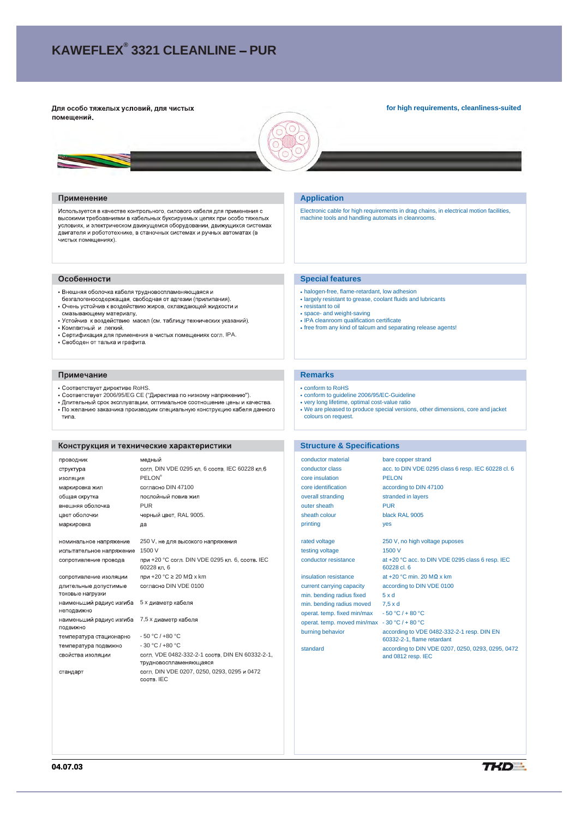# **KAWEFLEX® 3321 CLEANLINE PUR**

#### Для особо тяжелых условий, для чистых помещений.

**for high requirements, cleanliness-suited**



#### Применение

Используется в качестве контрольного, силового кабеля для применения с высокими требоавниями в кабельных буксируемых цепях при особо тяжелых условиях, и электрическом движущемся оборудовании, движущихся системах лемгателя и робототехнике, в станочных системах и ручных автоматах (в ...<br>чистых помещениях).

#### Особенности

- Внешняя оболочка кабеля трудновоспламеняющаяся и
- спользования составлять при составленным составлениям.<br>- безгалогеносодержащая, свободная от адгезии (прилипания).<br>• Очень устойчив к воздействию жиров, охлаждающей жидкости и
- смазывающему материалу. • Устойчив к воздействию масел (см. таблицу технических указаний).
- Компактный и легкий.
- Сертификация для применения в чистых помещениях согл. IPA.
- Свободен от талька и графита.

#### Примечание

- Соответствует директиве RoHS.
- 
- Соответствует 2006/95/EG CE ("Директива по низкому напряжению").<br>• Длительный срок эксплуатации, оптимальное соотношение цены и качества.<br>• По желанию заказчика производим специальную конструкцию кабеля данного
- типа.

## Конструкция и технические характеристики

| проводник                                 | медный                                                                    |
|-------------------------------------------|---------------------------------------------------------------------------|
| структура                                 | согл. DIN VDE 0295 кл. 6 соотв. IEC 60228 кл. 6                           |
| изоляция                                  | <b>PELON®</b>                                                             |
| маркировка жил                            | согласно DIN 47100                                                        |
| общая скрутка                             | послойный повив жил                                                       |
| внешняя оболочка                          | <b>PUR</b>                                                                |
| цвет оболочки                             | черный цвет, RAL 9005.                                                    |
| маркировка                                | да                                                                        |
|                                           |                                                                           |
| номинальное напряжение                    | 250 V, не для высокого напряжения                                         |
| испытательное напряжение                  | 1500 V                                                                    |
| сопротивление провода                     | при +20 °С согл. DIN VDE 0295 кл. 6, соотв. IEC<br>60228 кп 6             |
| сопротивление изоляции                    | при +20 °C ≥ 20 MΩ x km                                                   |
| длительные допустимые<br>токовые нагрузки | согласно DIN VDE 0100                                                     |
| наименьший радиус изгиба<br>неподвижно    | 5 х диаметр кабеля                                                        |
| наименьший радиус изгиба<br>подвижно      | 7,5 х диаметр кабеля                                                      |
| температура стационарно                   | $-50 °C / +80 °C$                                                         |
| температура подвижно                      | $-30 °C / +80 °C$                                                         |
| свойства изоляции                         | согл. VDE 0482-332-2-1 соотв. DIN EN 60332-2-1.<br>трудновоспламеняющаяся |
| стандарт                                  | согл. DIN VDE 0207, 0250, 0293, 0295 и 0472<br>COOTB, IEC                 |

### **Application**

Electronic cable for high requirements in drag chains, in electrical motion facilities, machine tools and handling automats in cleanrooms.

#### **Special features**

- halogen-free, flame-retardant, low adhesion
- largely resistant to grease, coolant fluids and lubricants
- resistant to oil
- space- and weight-saving IPA cleanroom qualification certificate
- free from any kind of talcum and separating release agents!
- 

## **Remarks**

- conform to RoHS
- conform to guideline 2006/95/EC-Guideline
- 
- very long lifetime, optimal cost-value ratio We are pleased to produce special versions, other dimensions, core and jacket colours on request.

#### **Structure & Specifications**

conductor material bare copper strand conductor class acc. to DIN VDE 0295 class 6 resp. IEC 60228 cl. 6<br>
core insulation PELON core insulation core identification according to DIN 47100 overall stranding stranded in layers outer sheath PUR sheath colour black RAL 9005 printing yes

testing voltage 1500 V

current carrying capacity according to DIN VDE 0100 min. bending radius fixed 5 x d min. bending radius moved 7,5 x d operat. temp. fixed min/max - 50 °C / + 80 °C operat. temp. moved min/max - 30 °C / + 80 °C

rated voltage 250 V, no high voltage puposes conductor resistance at +20 °C acc. to DIN VDE 0295 class 6 resp. IEC 60228 cl. 6 insulation resistance  $at +20 °C$  min. 20 M $\Omega$  x km

burning behavior according to VDE 0482-332-2-1 resp. DIN EN 60332-2-1, flame retardant standard according to DIN VDE 0207, 0250, 0293, 0295, 0472 and 0812 resp. IEC